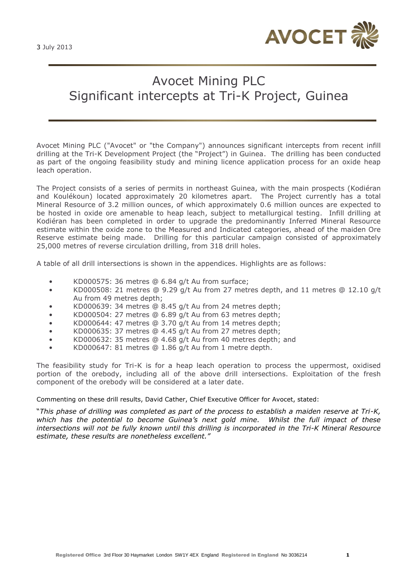

# Avocet Mining PLC Significant intercepts at Tri-K Project, Guinea

Avocet Mining PLC ("Avocet" or "the Company") announces significant intercepts from recent infill drilling at the Tri-K Development Project (the "Project") in Guinea. The drilling has been conducted as part of the ongoing feasibility study and mining licence application process for an oxide heap leach operation.

The Project consists of a series of permits in northeast Guinea, with the main prospects (Kodiéran and Koulékoun) located approximately 20 kilometres apart. The Project currently has a total Mineral Resource of 3.2 million ounces, of which approximately 0.6 million ounces are expected to be hosted in oxide ore amenable to heap leach, subject to metallurgical testing. Infill drilling at Kodiéran has been completed in order to upgrade the predominantly Inferred Mineral Resource estimate within the oxide zone to the Measured and Indicated categories, ahead of the maiden Ore Reserve estimate being made. Drilling for this particular campaign consisted of approximately 25,000 metres of reverse circulation drilling, from 318 drill holes.

A table of all drill intersections is shown in the appendices. Highlights are as follows:

- KD000575: 36 metres @ 6.84 g/t Au from surface;
- KD000508: 21 metres @ 9.29 g/t Au from 27 metres depth, and 11 metres @ 12.10 g/t Au from 49 metres depth;
- KD000639: 34 metres @ 8.45 g/t Au from 24 metres depth;
- KD000504: 27 metres @ 6.89 g/t Au from 63 metres depth;
- KD000644: 47 metres @ 3.70 g/t Au from 14 metres depth;
- KD000635: 37 metres @ 4.45 g/t Au from 27 metres depth;
- KD000632: 35 metres @ 4.68 g/t Au from 40 metres depth; and
- KD000647: 81 metres @ 1.86 g/t Au from 1 metre depth.

The feasibility study for Tri-K is for a heap leach operation to process the uppermost, oxidised portion of the orebody, including all of the above drill intersections. Exploitation of the fresh component of the orebody will be considered at a later date.

Commenting on these drill results, David Cather, Chief Executive Officer for Avocet, stated:

"*This phase of drilling was completed as part of the process to establish a maiden reserve at Tri-K, which has the potential to become Guinea's next gold mine. Whilst the full impact of these intersections will not be fully known until this drilling is incorporated in the Tri-K Mineral Resource estimate, these results are nonetheless excellent."*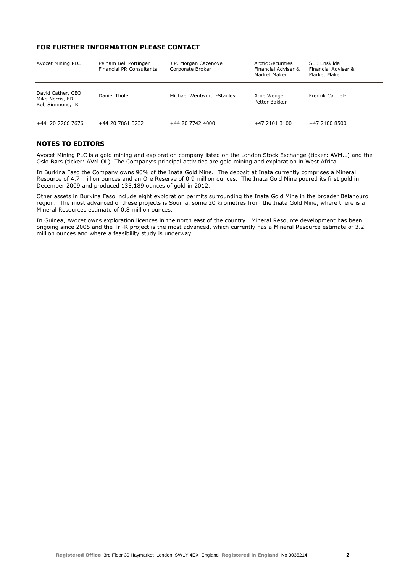### **FOR FURTHER INFORMATION PLEASE CONTACT**

| Avocet Mining PLC                                       | Pelham Bell Pottinger<br><b>Financial PR Consultants</b> | J.P. Morgan Cazenove<br>Corporate Broker | <b>Arctic Securities</b><br>Financial Adviser &<br>Market Maker | SEB Enskilda<br>Financial Adviser &<br>Market Maker |
|---------------------------------------------------------|----------------------------------------------------------|------------------------------------------|-----------------------------------------------------------------|-----------------------------------------------------|
| David Cather, CEO<br>Mike Norris, FD<br>Rob Simmons, IR | Daniel Thöle                                             | Michael Wentworth-Stanley                | Arne Wenger<br>Petter Bakken                                    | Fredrik Cappelen                                    |
| +44 20 7766 7676                                        | +44 20 7861 3232                                         | +44 20 7742 4000                         | +47 2101 3100                                                   | +47 2100 8500                                       |

## **NOTES TO EDITORS**

Avocet Mining PLC is a gold mining and exploration company listed on the London Stock Exchange (ticker: AVM.L) and the Oslo Børs (ticker: AVM.OL). The Company's principal activities are gold mining and exploration in West Africa.

In Burkina Faso the Company owns 90% of the Inata Gold Mine. The deposit at Inata currently comprises a Mineral Resource of 4.7 million ounces and an Ore Reserve of 0.9 million ounces. The Inata Gold Mine poured its first gold in December 2009 and produced 135,189 ounces of gold in 2012.

Other assets in Burkina Faso include eight exploration permits surrounding the Inata Gold Mine in the broader Bélahouro region. The most advanced of these projects is Souma, some 20 kilometres from the Inata Gold Mine, where there is a Mineral Resources estimate of 0.8 million ounces.

In Guinea, Avocet owns exploration licences in the north east of the country. Mineral Resource development has been ongoing since 2005 and the Tri-K project is the most advanced, which currently has a Mineral Resource estimate of 3.2 million ounces and where a feasibility study is underway.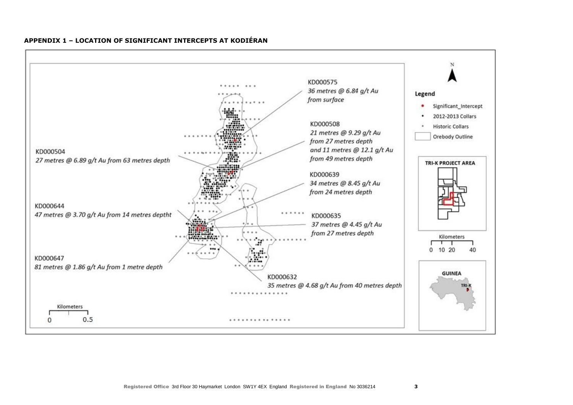

#### **APPENDIX 1 – LOCATION OF SIGNIFICANT INTERCEPTS AT KODIÉRAN**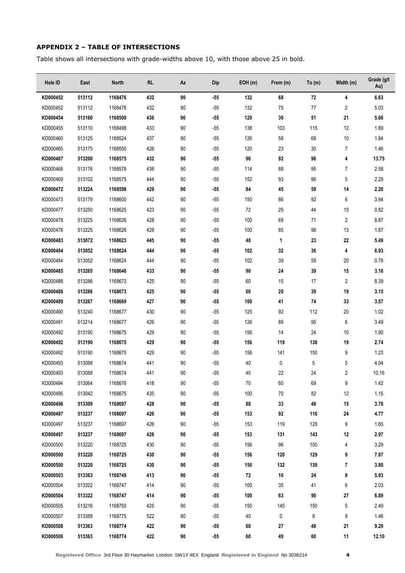# **APPENDIX 2 – TABLE OF INTERSECTIONS**

Table shows all intersections with grade-widths above 10, with those above 25 in bold.

| Hole ID  | East   | <b>North</b> | <b>RL</b> | Az | <b>Dip</b> | EOH(m) | From (m) | To $(m)$ | Width (m)      | Grade (g/t<br>Au) |
|----------|--------|--------------|-----------|----|------------|--------|----------|----------|----------------|-------------------|
| KD000452 | 513112 | 1168476      | 432       | 90 | $-55$      | 132    | 68       | 72       | 4              | 6.63              |
| KD000452 | 513112 | 1168476      | 432       | 90 | $-55$      | 132    | 75       | $77$     | $\overline{2}$ | 5.03              |
| KD000454 | 513160 | 1168500      | 436       | 90 | $-55$      | 120    | 30       | 51       | 21             | 5.66              |
| KD000455 | 513110 | 1168498      | 433       | 90 | $-55$      | 138    | 103      | 115      | 12             | 1.89              |
| KD000460 | 513125 | 1168524      | 437       | 90 | $-55$      | 126    | 58       | 68       | 10             | 1.84              |
| KD000465 | 513175 | 1168550      | 426       | 90 | $-55$      | 120    | 23       | 30       | $\overline{7}$ | 1.46              |
| KD000467 | 513200 | 1168575      | 432       | 90 | $-55$      | 96     | 92       | 96       | 4              | 13.75             |
| KD000468 | 513176 | 1168578      | 438       | 90 | $-55$      | 114    | 88       | 95       | $\overline{7}$ | 2.58              |
| KD000469 | 513102 | 1168575      | 444       | 90 | $-55$      | 152    | 93       | 98       | 5              | 2.29              |
| KD000472 | 513224 | 1168598      | 429       | 90 | $-55$      | 84     | 45       | 59       | 14             | 2.20              |
| KD000473 | 513179 | 1168600      | 442       | 90 | $-55$      | 150    | 86       | 92       | 6              | 3.94              |
| KD000477 | 513250 | 1168625      | 423       | 90 | $-55$      | 72     | 29       | 44       | 15             | 0.82              |
| KD000478 | 513225 | 1168626      | 428       | 90 | $-55$      | 100    | 69       | 71       | 2              | 8.87              |
| KD000478 | 513225 | 1168626      | 428       | 90 | $-55$      | 100    | 85       | 98       | 13             | 1.87              |
| KD000483 | 513072 | 1168623      | 445       | 90 | $-55$      | 48     | 1        | 23       | 22             | 5.49              |
| KD000484 | 513052 | 1168624      | 444       | 90 | -55        | 102    | 32       | 36       | 4              | 6.93              |
| KD000484 | 513052 | 1168624      | 444       | 90 | $-55$      | 102    | 39       | 59       | 20             | 0.78              |
| KD000485 | 513265 | 1168646      | 433       | 90 | $-55$      | 90     | 24       | 39       | 15             | 3.18              |
| KD000488 | 513286 | 1168673      | 425       | 90 | $-55$      | 60     | 15       | 17       | 2              | 8.39              |
| KD000488 | 513286 | 1168673      | 425       | 90 | -55        | 60     | 20       | 39       | 19             | 3.15              |
| KD000489 | 513267 | 1168669      | 427       | 90 | $-55$      | 100    | 41       | 74       | 33             | 3.57              |
| KD000490 | 513240 | 1168677      | 430       | 90 | $-55$      | 125    | 92       | 112      | 20             | 1.02              |
| KD000491 | 513214 | 1168677      | 426       | 90 | $-55$      | 126    | 89       | 95       | 6              | 3.49              |
| KD000492 | 513190 | 1168675      | 429       | 90 | $-55$      | 156    | 14       | 24       | 10             | 1.90              |
| KD000492 | 513190 | 1168675      | 429       | 90 | $-55$      | 156    | 119      | 138      | 19             | 2.74              |
| KD000492 | 513190 | 1168675      | 429       | 90 | $-55$      | 156    | 141      | 150      | 9              | 1.23              |
| KD000493 | 513088 | 1168674      | 441       | 90 | $-55$      | 40     | 0        | 5        | 5              | 4.04              |
| KD000493 | 513088 | 1168674      | 441       | 90 | $-55$      | 40     | 22       | 24       | 2              | 10.16             |
| KD000494 | 513064 | 1168676      | 418       | 90 | $-55$      | 70     | 60       | 69       | 9              | 1.42              |
| KD000495 | 513042 | 1168675      | 435       | 90 | $-55$      | 100    | 70       | 82       | 12             | 1.15              |
| KD000496 | 513309 | 1168697      | 428       | 90 | $-55$      | 80     | 33       | 48       | 15             | 3.78              |
| KD000497 | 513237 | 1168697      | 426       | 90 | -55        | 153    | 92       | 116      | 24             | 4.77              |
| KD000497 | 513237 | 1168697      | 426       | 90 | $-55$      | 153    | 119      | 128      | 9              | 1.65              |
| KD000497 | 513237 | 1168697      | 426       | 90 | -55        | 153    | 131      | 143      | 12             | 2.97              |
| KD000500 | 513220 | 1168725      | 430       | 90 | $-55$      | 156    | 96       | 100      | 4              | 3.29              |
| KD000500 | 513220 | 1168725      | 430       | 90 | -55        | 156    | 120      | 129      | 9              | 7.87              |
| KD000500 | 513220 | 1168725      | 430       | 90 | $-55$      | 156    | 132      | 139      | 7              | 3.80              |
| KD000503 | 513363 | 1168749      | 413       | 90 | -55        | 72     | 16       | 24       | 8              | 5.93              |
| KD000504 | 513322 | 1168747      | 414       | 90 | $-55$      | 100    | 35       | 41       | 6              | 2.03              |
| KD000504 | 513322 | 1168747      | 414       | 90 | -55        | 100    | 63       | 90       | 27             | 6.89              |
| KD000505 | 513216 | 1168750      | 425       | 90 | $-55$      | 150    | 145      | 150      | 5              | 2.49              |
| KD000507 | 513389 | 1168775      | 522       | 90 | $-55$      | 40     | 0        | 9        | 9              | 1.46              |
| KD000508 | 513363 | 1168774      | 422       | 90 | $-55$      | 60     | 27       | 48       | 21             | 9.29              |
| KD000508 | 513363 | 1168774      | 422       | 90 | -55        | 60     | 49       | 60       | 11             | 12.10             |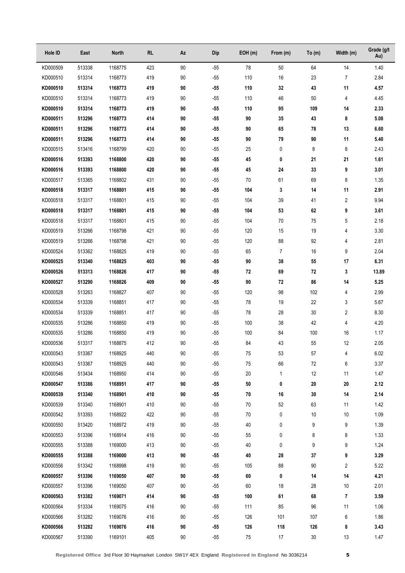| Hole ID  | East   | North   | RL  | Αz     | Dip   | EOH(m)     | From (m)       | To (m)     | Width (m)      | Grade (g/t<br>Au) |
|----------|--------|---------|-----|--------|-------|------------|----------------|------------|----------------|-------------------|
| KD000509 | 513338 | 1168775 | 423 | 90     | $-55$ | 78         | 50             | 64         | 14             | 1.40              |
| KD000510 | 513314 | 1168773 | 419 | 90     | $-55$ | 110        | 16             | 23         | $\overline{7}$ | 2.84              |
| KD000510 | 513314 | 1168773 | 419 | 90     | $-55$ | 110        | 32             | 43         | 11             | 4.57              |
| KD000510 | 513314 | 1168773 | 419 | 90     | $-55$ | 110        | 46             | 50         | 4              | 4.45              |
| KD000510 | 513314 | 1168773 | 419 | 90     | $-55$ | 110        | 95             | 109        | 14             | 2.33              |
| KD000511 | 513296 | 1168773 | 414 | 90     | $-55$ | 90         | 35             | 43         | 8              | 5.08              |
| KD000511 | 513296 | 1168773 | 414 | 90     | $-55$ | 90         | 65             | 78         | 13             | 6.60              |
| KD000511 | 513296 | 1168773 | 414 | 90     | $-55$ | 90         | 79             | 90         | 11             | 5.40              |
| KD000515 | 513416 | 1168799 | 420 | 90     | $-55$ | 25         | 0              | 8          | 8              | 2.43              |
| KD000516 | 513393 | 1168800 | 420 | 90     | $-55$ | 45         | 0              | 21         | 21             | 1.61              |
| KD000516 | 513393 | 1168800 | 420 | 90     | $-55$ | 45         | 24             | 33         | 9              | 3.01              |
| KD000517 | 513365 | 1168802 | 431 | 90     | $-55$ | 70         | 61             | 69         | 8              | 1.35              |
| KD000518 | 513317 | 1168801 | 415 | 90     | $-55$ | 104        | 3              | 14         | 11             | 2.91              |
| KD000518 | 513317 | 1168801 | 415 | 90     | $-55$ | 104        | 39             | 41         | 2              | 9.94              |
| KD000518 | 513317 | 1168801 | 415 | 90     | $-55$ | 104        | 53             | 62         | 9              | 3.61              |
| KD000518 | 513317 | 1168801 | 415 | 90     | $-55$ | 104        | 70             | 75         | 5              | 2.18              |
| KD000519 | 513266 | 1168798 | 421 | 90     | $-55$ | 120        | 15             | 19         | 4              | 3.30              |
| KD000519 | 513266 | 1168798 | 421 | 90     | $-55$ | 120        | 88             | 92         | 4              | 2.81              |
| KD000524 | 513362 | 1168825 | 419 | 90     | $-55$ | 65         | $\overline{7}$ | 16         | 9              | 2.04              |
| KD000525 | 513340 | 1168825 | 403 | 90     | $-55$ | 90         | 38             | 55         | 17             | 6.31              |
| KD000526 | 513313 | 1168826 | 417 | 90     | $-55$ | 72         | 69             | 72         | 3              | 13.89             |
| KD000527 | 513290 | 1168826 | 409 | 90     | $-55$ | 90         | 72             | 86         | 14             | 5.25              |
| KD000528 | 513263 | 1168827 | 407 | 90     | $-55$ | 120        | 98             | 102        | 4              | 2.99              |
| KD000534 | 513339 | 1168851 | 417 | 90     | $-55$ | 78         | 19             | 22         | 3              | 5.67              |
| KD000534 | 513339 | 1168851 | 417 | 90     | $-55$ | 78         | 28             | 30         | 2              | 8.30              |
| KD000535 | 513286 | 1168850 | 419 | 90     | $-55$ | 100        | 38             | 42         | 4              | 4.20              |
| KD000535 | 513286 | 1168850 | 419 | 90     | $-55$ | 100        | 84             | 100        | 16             | 1.17              |
| KD000536 | 513317 | 1168875 | 412 | 90     | $-55$ | 84         | 43             | 55         | 12             | 2.05              |
| KD000543 | 513367 | 1168925 | 440 | 90     | $-55$ | ${\bf 75}$ | 53             | 57         | 4              | 6.02              |
| KD000543 | 513367 | 1168925 | 440 | 90     | $-55$ | ${\bf 75}$ | 66             | $72\,$     | 6              | 3.37              |
| KD000546 | 513434 | 1168950 | 414 | 90     | $-55$ | $20\,$     | 1              | 12         | 11             | 1.47              |
| KD000547 | 513386 | 1168951 | 417 | 90     | $-55$ | ${\bf 50}$ | 0              | ${\bf 20}$ | ${\bf 20}$     | 2.12              |
| KD000539 | 513340 | 1168901 | 410 | 90     | $-55$ | 70         | 16             | 30         | 14             | 2.14              |
| KD000539 | 513340 | 1168901 | 410 | 90     | $-55$ | 70         | 52             | 63         | 11             | 1.42              |
| KD000542 | 513393 | 1168922 | 422 | 90     | $-55$ | 70         | 0              | 10         | $10$           | 1.09              |
| KD000550 | 513420 | 1168972 | 419 | 90     | $-55$ | 40         | 0              | 9          | 9              | 1.39              |
| KD000553 | 513396 | 1168914 | 416 | 90     | $-55$ | 55         | 0              | 8          | 8              | 1.33              |
| KD000555 | 513388 | 1169000 | 413 | 90     | $-55$ | 40         | 0              | 9          | 9              | 1.24              |
| KD000555 | 513388 | 1169000 | 413 | 90     | $-55$ | 40         | 28             | 37         | 9              | 3.29              |
| KD000556 | 513342 | 1168998 | 419 | 90     | $-55$ | 105        | 88             | 90         | 2              | 5.22              |
| KD000557 | 513396 | 1169050 | 407 | 90     | $-55$ | 60         | 0              | 14         | 14             | 4.21              |
| KD000557 | 513396 | 1169050 | 407 | 90     | $-55$ | 60         | 18             | 28         | 10             | 2.01              |
| KD000563 | 513382 | 1169071 | 414 | 90     | $-55$ | 100        | 61             | 68         | 7              | 3.59              |
| KD000564 | 513334 | 1169075 | 416 | 90     | $-55$ | 111        | 85             | 96         | 11             | 1.06              |
| KD000566 | 513282 | 1169076 | 416 | 90     | $-55$ | 126        | 101            | 107        | 6              | 1.86              |
| KD000566 | 513282 | 1169076 | 416 | $90\,$ | $-55$ | 126        | 118            | 126        | 8              | 3.43              |
| KD000567 | 513390 | 1169101 | 405 | 90     | $-55$ | 75         | 17             | $30\,$     | 13             | 1.47              |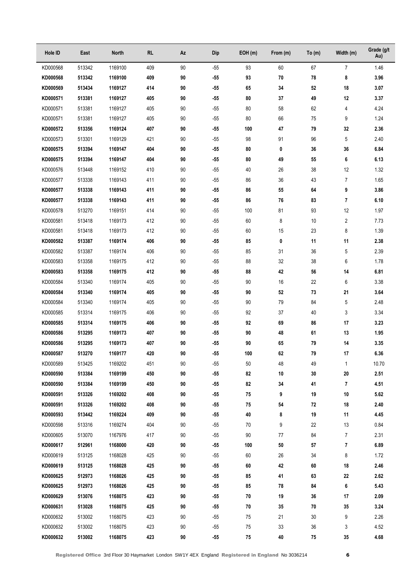| Hole ID  | East   | North   | <b>RL</b> | Az     | Dip   | EOH(m) | From (m) | To $(m)$   | Width (m)      | Grade (g/t<br>Au) |
|----------|--------|---------|-----------|--------|-------|--------|----------|------------|----------------|-------------------|
| KD000568 | 513342 | 1169100 | 409       | 90     | $-55$ | 93     | 60       | 67         | $\overline{7}$ | 1.46              |
| KD000568 | 513342 | 1169100 | 409       | 90     | $-55$ | 93     | 70       | 78         | 8              | 3.96              |
| KD000569 | 513434 | 1169127 | 414       | 90     | $-55$ | 65     | 34       | $52\,$     | 18             | 3.07              |
| KD000571 | 513381 | 1169127 | 405       | 90     | $-55$ | 80     | 37       | 49         | 12             | 3.37              |
| KD000571 | 513381 | 1169127 | 405       | 90     | $-55$ | 80     | 58       | 62         | 4              | 4.24              |
| KD000571 | 513381 | 1169127 | 405       | 90     | $-55$ | 80     | 66       | 75         | 9              | 1.24              |
| KD000572 | 513356 | 1169124 | 407       | 90     | $-55$ | 100    | 47       | 79         | 32             | 2.36              |
| KD000573 | 513301 | 1169129 | 421       | 90     | $-55$ | 98     | 91       | 96         | 5              | 2.40              |
| KD000575 | 513394 | 1169147 | 404       | 90     | $-55$ | 80     | 0        | 36         | 36             | 6.84              |
| KD000575 | 513394 | 1169147 | 404       | 90     | $-55$ | 80     | 49       | 55         | 6              | 6.13              |
| KD000576 | 513448 | 1169152 | 410       | 90     | $-55$ | 40     | 26       | 38         | 12             | 1.32              |
| KD000577 | 513338 | 1169143 | 411       | 90     | $-55$ | 86     | 36       | 43         | $\overline{7}$ | 1.65              |
| KD000577 | 513338 | 1169143 | 411       | 90     | $-55$ | 86     | 55       | 64         | 9              | 3.86              |
| KD000577 | 513338 | 1169143 | 411       | 90     | $-55$ | 86     | 76       | 83         | 7              | 6.10              |
| KD000578 | 513270 | 1169151 | 414       | 90     | $-55$ | 100    | 81       | 93         | 12             | 1.97              |
| KD000581 | 513418 | 1169173 | 412       | 90     | $-55$ | 60     | 8        | 10         | $\overline{2}$ | 7.73              |
| KD000581 | 513418 | 1169173 | 412       | 90     | $-55$ | 60     | 15       | 23         | 8              | 1.39              |
| KD000582 | 513387 | 1169174 | 406       | 90     | $-55$ | 85     | 0        | 11         | 11             | 2.38              |
| KD000582 | 513387 | 1169174 | 406       | 90     | $-55$ | 85     | 31       | 36         | 5              | 2.39              |
| KD000583 | 513358 | 1169175 | 412       | 90     | $-55$ | 88     | 32       | 38         | 6              | 1.78              |
| KD000583 | 513358 | 1169175 | 412       | 90     | $-55$ | 88     | 42       | 56         | 14             | 6.81              |
| KD000584 | 513340 | 1169174 | 405       | 90     | $-55$ | 90     | 16       | 22         | 6              | 3.38              |
| KD000584 | 513340 | 1169174 | 405       | 90     | $-55$ | 90     | 52       | 73         | 21             | 3.64              |
| KD000584 | 513340 | 1169174 | 405       | 90     | $-55$ | 90     | 79       | 84         | 5              | 2.48              |
| KD000585 | 513314 | 1169175 | 406       | 90     | $-55$ | 92     | 37       | 40         | 3              | 3.34              |
| KD000585 | 513314 | 1169175 | 406       | 90     | $-55$ | 92     | 69       | 86         | 17             | 3.23              |
| KD000586 | 513295 | 1169173 | 407       | 90     | $-55$ | 90     | 48       | 61         | 13             | 1.95              |
| KD000586 | 513295 | 1169173 | 407       | 90     | $-55$ | 90     | 65       | 79         | 14             | 3.35              |
| KD000587 | 513270 | 1169177 | 420       | 90     | $-55$ | 100    | 62       | 79         | 17             | 6.36              |
| KD000589 | 513425 | 1169202 | 451       | $90\,$ | $-55$ | 50     | 48       | 49         | $\mathbf{1}$   | 10.70             |
| KD000590 | 513384 | 1169199 | 450       | 90     | $-55$ | 82     | 10       | $30\,$     | ${\bf 20}$     | 2.51              |
| KD000590 | 513384 | 1169199 | 450       | 90     | $-55$ | 82     | 34       | 41         | 7              | 4.51              |
| KD000591 | 513326 | 1169202 | 408       | 90     | $-55$ | 75     | 9        | 19         | 10             | 5.62              |
| KD000591 | 513326 | 1169202 | 408       | 90     | $-55$ | 75     | 54       | ${\bf 72}$ | 18             | 2.40              |
| KD000593 | 513442 | 1169224 | 409       | 90     | $-55$ | 40     | 8        | 19         | 11             | 4.45              |
| KD000598 | 513316 | 1169274 | 404       | 90     | $-55$ | 70     | 9        | 22         | 13             | 0.84              |
| KD000605 | 513070 | 1167976 | 417       | 90     | $-55$ | 90     | 77       | 84         | 7              | 2.31              |
| KD000617 | 512961 | 1168000 | 420       | 90     | $-55$ | 100    | 50       | 57         | 7              | 6.89              |
| KD000619 | 513125 | 1168028 | 425       | 90     | $-55$ | 60     | 26       | 34         | 8              | 1.72              |
| KD000619 | 513125 | 1168028 | 425       | 90     | $-55$ | 60     | 42       | 60         | 18             | 2.46              |
| KD000625 | 512973 | 1168026 | 425       | 90     | $-55$ | 85     | 41       | 63         | 22             | 2.62              |
| KD000625 | 512973 | 1168026 | 425       | 90     | $-55$ | 85     | 78       | 84         | 6              | 5.43              |
| KD000629 | 513076 | 1168075 | 423       | 90     | $-55$ | 70     | 19       | $36\,$     | 17             | 2.09              |
| KD000631 | 513028 | 1168075 | 425       | 90     | $-55$ | 70     | 35       | 70         | $35\,$         | 3.24              |
| KD000632 | 513002 | 1168075 | 423       | 90     | $-55$ | 75     | 21       | $30\,$     | 9              | 2.26              |
| KD000632 | 513002 | 1168075 | 423       | 90     | $-55$ | $75\,$ | 33       | $36\,$     | 3              | 4.52              |
| KD000632 | 513002 | 1168075 | 423       | 90     | $-55$ | 75     | 40       | 75         | 35             | 4.68              |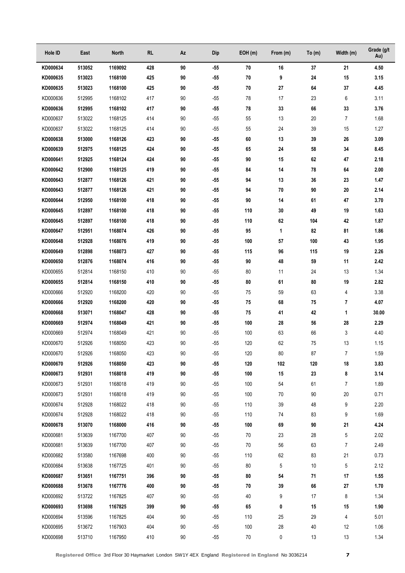| Hole ID              | East             | North              | <b>RL</b>  | Az       | Dip            | EOH(m)     | From (m) | To (m)       | Width (m)                | Grade (g/t<br>Au) |
|----------------------|------------------|--------------------|------------|----------|----------------|------------|----------|--------------|--------------------------|-------------------|
| KD000634             | 513052           | 1169092            | 428        | 90       | $-55$          | 70         | 16       | 37           | 21                       | 4.50              |
| KD000635             | 513023           | 1168100            | 425        | 90       | $-55$          | 70         | 9        | 24           | 15                       | 3.15              |
| KD000635             | 513023           | 1168100            | 425        | 90       | $-55$          | 70         | 27       | 64           | 37                       | 4.45              |
| KD000636             | 512995           | 1168102            | 417        | 90       | $-55$          | 78         | 17       | 23           | 6                        | 3.11              |
| KD000636             | 512995           | 1168102            | 417        | 90       | $-55$          | 78         | 33       | 66           | 33                       | 3.76              |
| KD000637             | 513022           | 1168125            | 414        | 90       | $-55$          | 55         | 13       | 20           | $\overline{7}$           | 1.68              |
| KD000637             | 513022           | 1168125            | 414        | 90       | $-55$          | 55         | 24       | 39           | 15                       | 1.27              |
| KD000638             | 513000           | 1168126            | 423        | 90       | $-55$          | 60         | 13       | 39           | 26                       | 3.09              |
| KD000639             | 512975           | 1168125            | 424        | 90       | $-55$          | 65         | 24       | 58           | 34                       | 8.45              |
| KD000641             | 512925           | 1168124            | 424        | 90       | $-55$          | 90         | 15       | 62           | 47                       | 2.18              |
| KD000642             | 512900           | 1168125            | 419        | 90       | $-55$          | 84         | 14       | 78           | 64                       | 2.00              |
| KD000643             | 512877           | 1168126            | 421        | 90       | $-55$          | 94         | 13       | 36           | 23                       | 1.47              |
| KD000643             | 512877           | 1168126            | 421        | 90       | $-55$          | 94         | 70       | 90           | 20                       | 2.14              |
| KD000644             | 512950           | 1168100            | 418        | 90       | $-55$          | 90         | 14       | 61           | 47                       | 3.70              |
| KD000645             | 512897           | 1168100            | 418        | 90       | $-55$          | 110        | 30       | 49           | 19                       | 1.63              |
| KD000645             | 512897           | 1168100            | 418        | 90       | $-55$          | 110        | 62       | 104          | 42                       | 1.87              |
| KD000647             | 512951           | 1168074            | 426        | 90       | $-55$          | 95         | 1        | 82           | 81                       | 1.86              |
| KD000648             | 512928           | 1168076            | 419        | 90       | $-55$          | 100        | 57       | 100          | 43                       | 1.95              |
| KD000649             | 512898           | 1168073            | 427        | 90       | $-55$          | 115        | 96       | 115          | 19                       | 2.26              |
| KD000650             | 512876           | 1168074            | 416        | 90       | $-55$          | 90         | 48       | 59           | 11                       | 2.42              |
| KD000655             | 512814           | 1168150            | 410        | 90       | $-55$          | 80         | 11       | 24           | 13                       | 1.34              |
| KD000655             | 512814           | 1168150            | 410        | 90       | $-55$          | 80         | 61       | 80           | 19                       | 2.82              |
| KD000666             | 512920           | 1168200            | 420        | 90       | $-55$          | 75         | 59       | 63           | 4                        | 3.38              |
| KD000666             | 512920           | 1168200            | 420        | 90       | $-55$          | 75         | 68       | 75           | 7                        | 4.07              |
| KD000668             | 513071           | 1168047            | 428        | 90       | $-55$          | 75         | 41       | 42           | 1                        | 30.00             |
| KD000669             | 512974           | 1168049            | 421        | 90       | $-55$          | 100        | 28       | 56           | 28                       | 2.29              |
| KD000669             | 512974           | 1168049            | 421        | 90       | $-55$          | 100        | 63       | 66           | 3                        | 4.40              |
| KD000670             | 512926           | 1168050            | 423        | 90       | $-55$          | 120        | 62       | 75           | 13                       | 1.15              |
| KD000670             | 512926           | 1168050            | 423        | 90       | $-55$          | 120        | 80       | 87           | $\overline{7}$           | 1.59              |
| KD000670             | 512926           | 1168050            | 423        | 90       | $-55$          | 120        | 102      | 120          | $18$                     | 3.83              |
| KD000673             | 512931           | 1168018            | 419        | 90       | $-55$          | 100<br>100 | 15       | 23           | 8                        | 3.14              |
| KD000673<br>KD000673 | 512931<br>512931 | 1168018<br>1168018 | 419<br>419 | 90<br>90 | $-55$<br>$-55$ | 100        | 54<br>70 | 61<br>$90\,$ | $\overline{7}$<br>$20\,$ | 1.89<br>0.71      |
| KD000674             | 512928           | 1168022            | 418        | 90       | $-55$          | 110        | 39       | 48           | 9                        | 2.20              |
| KD000674             | 512928           | 1168022            | 418        | 90       | $-55$          | 110        | 74       | 83           | 9                        | 1.69              |
| KD000678             | 513070           | 1168000            | 416        | 90       | $-55$          | 100        | 69       | 90           | 21                       | 4.24              |
| KD000681             | 513639           | 1167700            | 407        | 90       | $-55$          | 70         | 23       | 28           | $\mathbf 5$              | 2.02              |
| KD000681             | 513639           | 1167700            | 407        | 90       | $-55$          | 70         | 56       | 63           | $\overline{7}$           | 2.49              |
| KD000682             | 513580           | 1167698            | 400        | 90       | $-55$          | 110        | 62       | 83           | 21                       | 0.73              |
| KD000684             | 513638           | 1167725            | 401        | 90       | $-55$          | 80         | 5        | 10           | 5                        | 2.12              |
| KD000687             | 513651           | 1167751            | 396        | 90       | $-55$          | 80         | 54       | 71           | 17                       | 1.55              |
| KD000688             | 513678           | 1167776            | 400        | 90       | $-55$          | 70         | 39       | 66           | 27                       | 1.70              |
| KD000692             | 513722           | 1167825            | 407        | 90       | $-55$          | 40         | 9        | 17           | 8                        | 1.34              |
| KD000693             | 513698           | 1167825            | 399        | 90       | $-55$          | 65         | 0        | 15           | 15                       | 1.90              |
| KD000694             | 513596           | 1167825            | 404        | 90       | $-55$          | 110        | 25       | 29           | 4                        | 5.01              |
| KD000695             | 513672           | 1167903            | 404        | 90       | $-55$          | 100        | 28       | 40           | 12                       | 1.06              |
| KD000698             | 513710           | 1167950            | 410        | 90       | $-55$          | 70         | 0        | 13           | 13                       | 1.34              |
|                      |                  |                    |            |          |                |            |          |              |                          |                   |